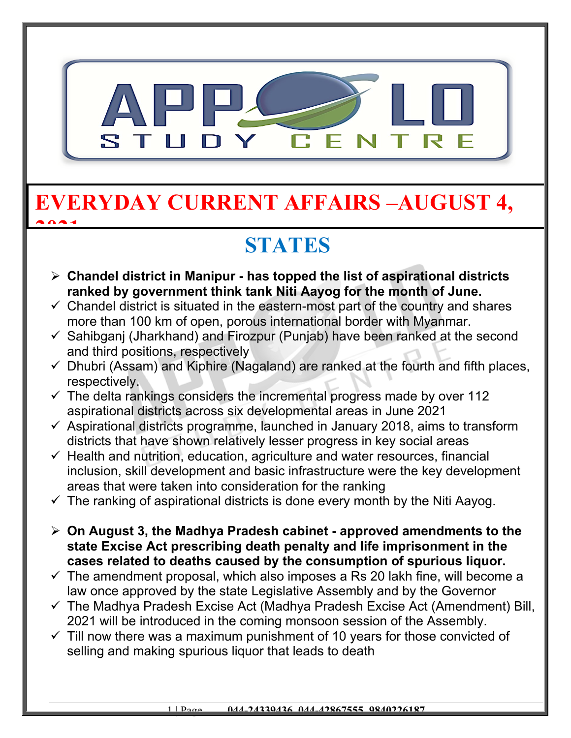

### **EVERYDAY CURRENT AFFAIRS –AUGUST 4, 2021**

# **STATES**

- **Chandel district in Manipur has topped the list of aspirational districts ranked by government think tank Niti Aayog for the month of June.**
- $\checkmark$  Chandel district is situated in the eastern-most part of the country and shares more than 100 km of open, porous international border with Myanmar.
- $\checkmark$  Sahibganj (Jharkhand) and Firozpur (Punjab) have been ranked at the second and third positions, respectively
- $\checkmark$  Dhubri (Assam) and Kiphire (Nagaland) are ranked at the fourth and fifth places, respectively.
- $\checkmark$  The delta rankings considers the incremental progress made by over 112 aspirational districts across six developmental areas in June 2021
- $\checkmark$  Aspirational districts programme, launched in January 2018, aims to transform districts that have shown relatively lesser progress in key social areas
- $\checkmark$  Health and nutrition, education, agriculture and water resources, financial inclusion, skill development and basic infrastructure were the key development areas that were taken into consideration for the ranking
- $\checkmark$  The ranking of aspirational districts is done every month by the Niti Aayog.
- **On August 3, the Madhya Pradesh cabinet approved amendments to the state Excise Act prescribing death penalty and life imprisonment in the cases related to deaths caused by the consumption of spurious liquor.**
- $\checkmark$  The amendment proposal, which also imposes a Rs 20 lakh fine, will become a law once approved by the state Legislative Assembly and by the Governor
- $\checkmark$  The Madhya Pradesh Excise Act (Madhya Pradesh Excise Act (Amendment) Bill, 2021 will be introduced in the coming monsoon session of the Assembly.
- $\checkmark$  Till now there was a maximum punishment of 10 years for those convicted of selling and making spurious liquor that leads to death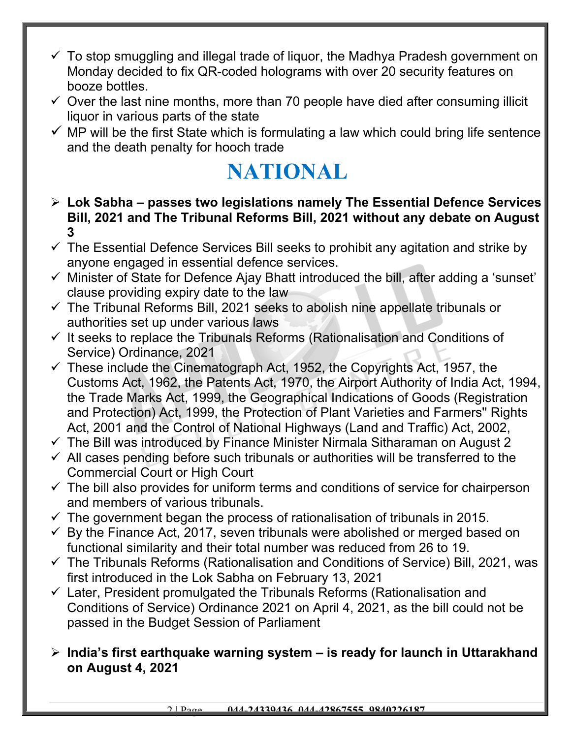- $\checkmark$  To stop smuggling and illegal trade of liquor, the Madhya Pradesh government on Monday decided to fix QR-coded holograms with over 20 security features on booze bottles.
- $\checkmark$  Over the last nine months, more than 70 people have died after consuming illicit liquor in various parts of the state
- $\checkmark$  MP will be the first State which is formulating a law which could bring life sentence and the death penalty for hooch trade

## **NATIONAL**

- **Lok Sabha passes two legislations namely The Essential Defence Services Bill, 2021 and The Tribunal Reforms Bill, 2021 without any debate on August 3**
- $\checkmark$  The Essential Defence Services Bill seeks to prohibit any agitation and strike by anyone engaged in essential defence services.
- $\checkmark$  Minister of State for Defence Ajay Bhatt introduced the bill, after adding a 'sunset' clause providing expiry date to the law
- $\checkmark$  The Tribunal Reforms Bill, 2021 seeks to abolish nine appellate tribunals or authorities set up under various laws
- $\checkmark$  It seeks to replace the Tribunals Reforms (Rationalisation and Conditions of Service) Ordinance, 2021
- $\checkmark$  These include the Cinematograph Act, 1952, the Copyrights Act, 1957, the Customs Act, 1962, the Patents Act, 1970, the Airport Authority of India Act, 1994, the Trade Marks Act, 1999, the Geographical Indications of Goods (Registration and Protection) Act, 1999, the Protection of Plant Varieties and Farmers'' Rights Act, 2001 and the Control of National Highways (Land and Traffic) Act, 2002,
- $\checkmark$  The Bill was introduced by Finance Minister Nirmala Sitharaman on August 2
- $\checkmark$  All cases pending before such tribunals or authorities will be transferred to the Commercial Court or High Court
- $\checkmark$  The bill also provides for uniform terms and conditions of service for chairperson and members of various tribunals.
- $\checkmark$  The government began the process of rationalisation of tribunals in 2015.
- $\checkmark$  By the Finance Act, 2017, seven tribunals were abolished or merged based on functional similarity and their total number was reduced from 26 to 19.
- $\checkmark$  The Tribunals Reforms (Rationalisation and Conditions of Service) Bill, 2021, was first introduced in the Lok Sabha on February 13, 2021
- $\checkmark$  Later, President promulgated the Tribunals Reforms (Rationalisation and Conditions of Service) Ordinance 2021 on April 4, 2021, as the bill could not be passed in the Budget Session of Parliament

#### **India's first earthquake warning system – is ready for launch in Uttarakhand on August 4, 2021**

2 | Page **044-24339436, 044-42867555, 9840226187**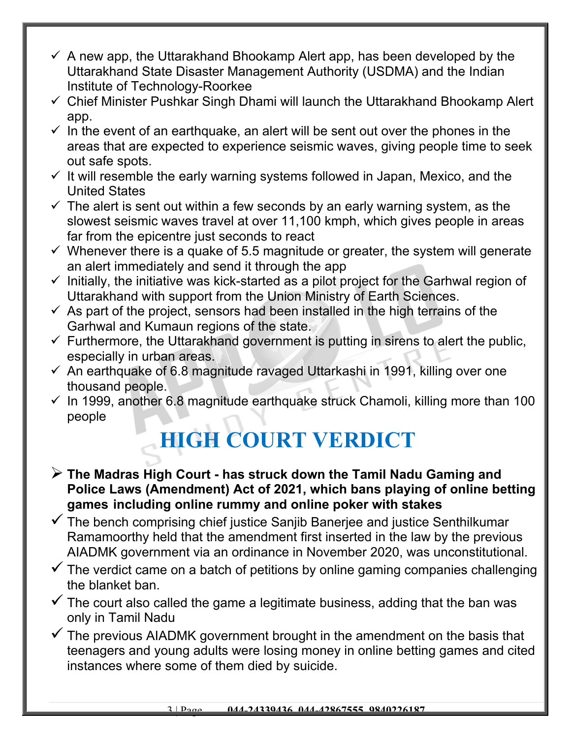- $\checkmark$  A new app, the Uttarakhand Bhookamp Alert app, has been developed by the Uttarakhand State Disaster Management Authority (USDMA) and the Indian Institute of Technology-Roorkee
- $\checkmark$  Chief Minister Pushkar Singh Dhami will launch the Uttarakhand Bhookamp Alert app.
- $\checkmark$  In the event of an earthquake, an alert will be sent out over the phones in the areas that are expected to experience seismic waves, giving people time to seek out safe spots.
- $\checkmark$  It will resemble the early warning systems followed in Japan, Mexico, and the United States
- $\checkmark$  The alert is sent out within a few seconds by an early warning system, as the slowest seismic waves travel at over 11,100 kmph, which gives people in areas far from the epicentre just seconds to react
- $\checkmark$  Whenever there is a quake of 5.5 magnitude or greater, the system will generate an alert immediately and send it through the app
- $\checkmark$  Initially, the initiative was kick-started as a pilot project for the Garhwal region of Uttarakhand with support from the Union Ministry of Earth Sciences.
- $\checkmark$  As part of the project, sensors had been installed in the high terrains of the Garhwal and Kumaun regions of the state.
- $\checkmark$  Furthermore, the Uttarakhand government is putting in sirens to alert the public, especially in urban areas.
- $\checkmark$  An earthquake of 6.8 magnitude ravaged Uttarkashi in 1991, killing over one thousand people.
- $\checkmark$  In 1999, another 6.8 magnitude earthquake struck Chamoli, killing more than 100 people

# **HIGH COURT VERDICT**

- **The Madras High Court has struck down the Tamil Nadu Gaming and Police Laws (Amendment) Act of 2021, which bans playing of online betting games including online rummy and online poker with stakes**
- $\checkmark$  The bench comprising chief justice Sanjib Banerjee and justice Senthilkumar Ramamoorthy held that the amendment first inserted in the law by the previous AIADMK government via an ordinance in November 2020, was unconstitutional.
- $\checkmark$  The verdict came on a batch of petitions by online gaming companies challenging the blanket ban.
- $\checkmark$  The court also called the game a legitimate business, adding that the ban was only in Tamil Nadu
- $\checkmark$  The previous AIADMK government brought in the amendment on the basis that teenagers and young adults were losing money in online betting games and cited instances where some of them died by suicide.